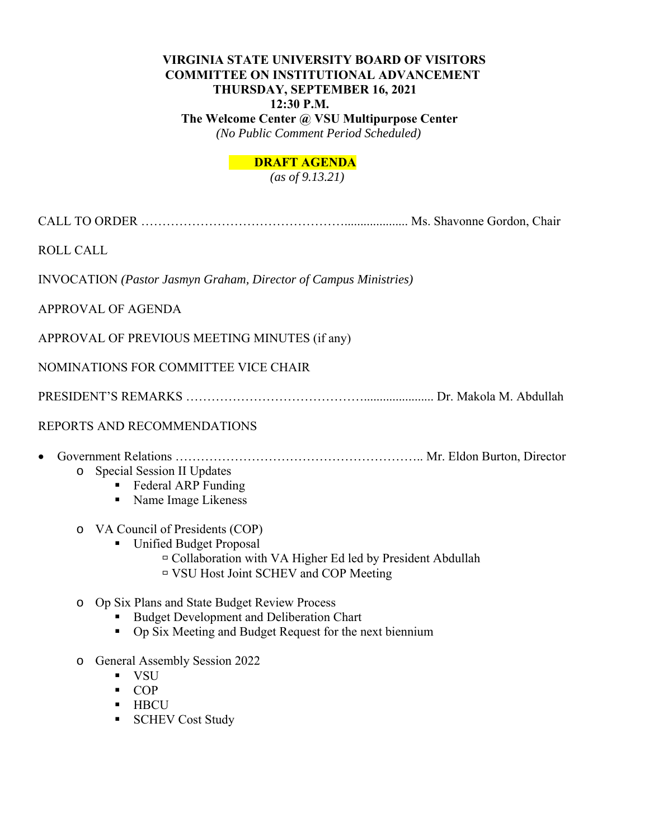# **VIRGINIA STATE UNIVERSITY BOARD OF VISITORS COMMITTEE ON INSTITUTIONAL ADVANCEMENT THURSDAY, SEPTEMBER 16, 2021 12:30 P.M. The Welcome Center @ VSU Multipurpose Center**

 *(No Public Comment Period Scheduled)* 

# **DRAFT AGENDA**

 *(as of 9.13.21)* 

CALL TO ORDER ………………………………………….................... Ms. Shavonne Gordon, Chair

ROLL CALL

INVOCATION *(Pastor Jasmyn Graham, Director of Campus Ministries)*

APPROVAL OF AGENDA

APPROVAL OF PREVIOUS MEETING MINUTES (if any)

NOMINATIONS FOR COMMITTEE VICE CHAIR

PRESIDENT'S REMARKS ……………………………………...................... Dr. Makola M. Abdullah

# REPORTS AND RECOMMENDATIONS

Government Relations ………………………………………………….. Mr. Eldon Burton, Director

# o Special Session II Updates

- **Federal ARP Funding**
- Name Image Likeness

# o VA Council of Presidents (COP)

- Unified Budget Proposal
	- Collaboration with VA Higher Ed led by President Abdullah
	- VSU Host Joint SCHEV and COP Meeting

# o Op Six Plans and State Budget Review Process

- Budget Development and Deliberation Chart
- Op Six Meeting and Budget Request for the next biennium
- o General Assembly Session 2022
	- VSU
	- $\blacksquare$  COP
	- **HBCU**
	- **SCHEV Cost Study**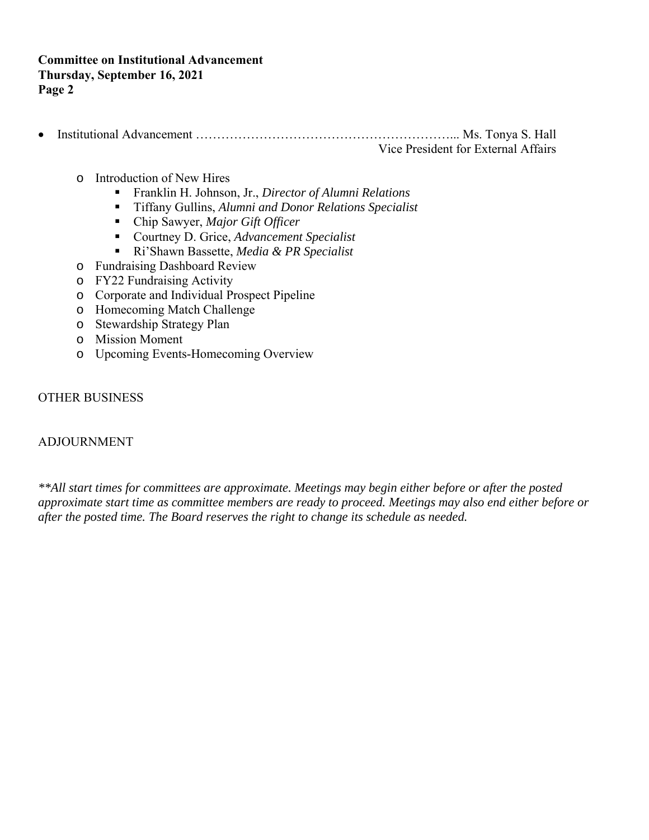- Institutional Advancement ……………………………………………………... Ms. Tonya S. Hall Vice President for External Affairs
	- o Introduction of New Hires
		- Franklin H. Johnson, Jr., *Director of Alumni Relations*
		- Tiffany Gullins, *Alumni and Donor Relations Specialist*
		- Chip Sawyer, *Major Gift Officer*
		- Courtney D. Grice, *Advancement Specialist*
		- Ri'Shawn Bassette, *Media & PR Specialist*
	- o Fundraising Dashboard Review
	- o FY22 Fundraising Activity
	- o Corporate and Individual Prospect Pipeline
	- o Homecoming Match Challenge
	- o Stewardship Strategy Plan
	- o Mission Moment
	- o Upcoming Events-Homecoming Overview

# OTHER BUSINESS

# ADJOURNMENT

*\*\*All start times for committees are approximate. Meetings may begin either before or after the posted approximate start time as committee members are ready to proceed. Meetings may also end either before or after the posted time. The Board reserves the right to change its schedule as needed.*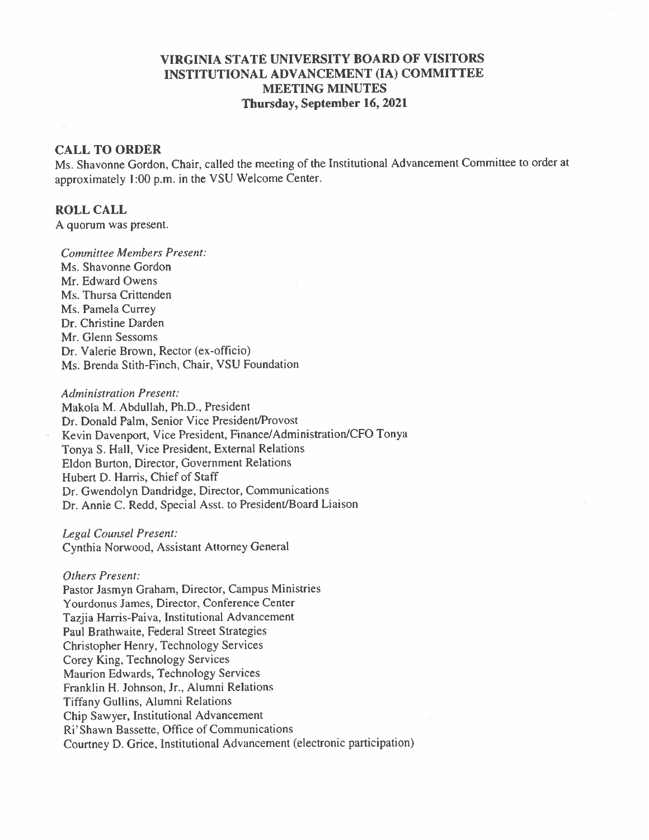# **VIRGINIA STATE UNIVERSITY BOARD OF VISITORS** INSTITUTIONAL ADVANCEMENT (IA) COMMITTEE **MEETING MINUTES** Thursday, September 16, 2021

### **CALL TO ORDER**

Ms. Shavonne Gordon, Chair, called the meeting of the Institutional Advancement Committee to order at approximately 1:00 p.m. in the VSU Welcome Center.

### **ROLL CALL**

A quorum was present.

**Committee Members Present:** Ms. Shavonne Gordon. Mr. Edward Owens Ms. Thursa Crittenden Ms. Pamela Currey Dr. Christine Darden Mr. Glenn Sessoms Dr. Valerie Brown, Rector (ex-officio) Ms. Brenda Stith-Finch, Chair, VSU Foundation

**Administration Present:** Makola M. Abdullah, Ph.D., President Dr. Donald Palm, Senior Vice President/Provost Kevin Davenport, Vice President, Finance/Administration/CFO Tonya Tonya S. Hall, Vice President, External Relations Eldon Burton, Director, Government Relations Hubert D. Harris, Chief of Staff Dr. Gwendolyn Dandridge, Director, Communications Dr. Annie C. Redd, Special Asst. to President/Board Liaison

Legal Counsel Present: Cynthia Norwood, Assistant Attorney General

#### **Others Present:**

Pastor Jasmyn Graham, Director, Campus Ministries Yourdonus James, Director, Conference Center Tazjia Harris-Paiva, Institutional Advancement Paul Brathwaite, Federal Street Strategies Christopher Henry, Technology Services Corey King, Technology Services Maurion Edwards, Technology Services Franklin H. Johnson, Jr., Alumni Relations **Tiffany Gullins, Alumni Relations** Chip Sawyer, Institutional Advancement Ri'Shawn Bassette, Office of Communications Courtney D. Grice, Institutional Advancement (electronic participation)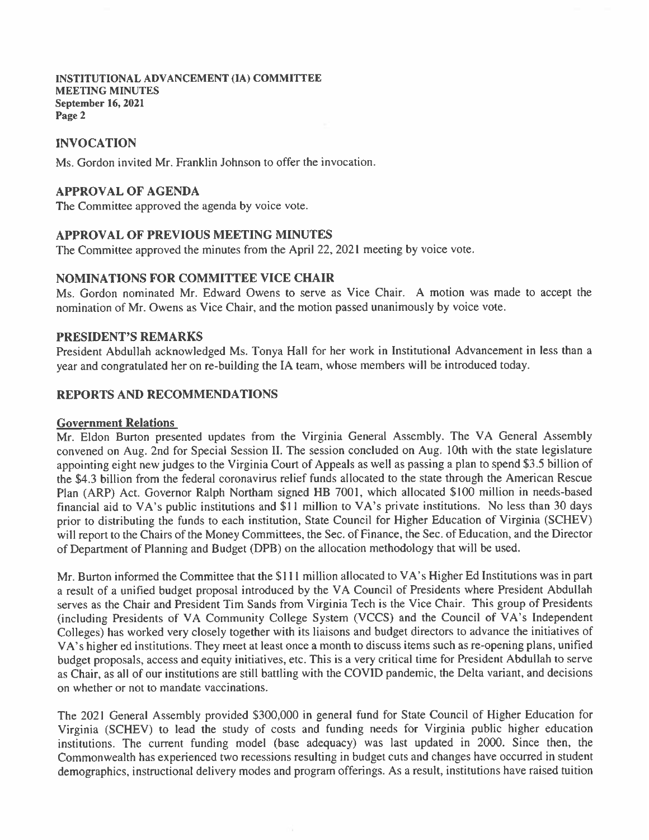# **INVOCATION**

Ms. Gordon invited Mr. Franklin Johnson to offer the invocation.

### **APPROVAL OF AGENDA**

The Committee approved the agenda by voice vote.

### **APPROVAL OF PREVIOUS MEETING MINUTES**

The Committee approved the minutes from the April 22, 2021 meeting by voice vote.

### **NOMINATIONS FOR COMMITTEE VICE CHAIR**

Ms. Gordon nominated Mr. Edward Owens to serve as Vice Chair. A motion was made to accept the nomination of Mr. Owens as Vice Chair, and the motion passed unanimously by voice vote.

#### **PRESIDENT'S REMARKS**

President Abdullah acknowledged Ms. Tonya Hall for her work in Institutional Advancement in less than a year and congratulated her on re-building the IA team, whose members will be introduced today.

# **REPORTS AND RECOMMENDATIONS**

#### **Government Relations**

Mr. Eldon Burton presented updates from the Virginia General Assembly. The VA General Assembly convened on Aug. 2nd for Special Session II. The session concluded on Aug. 10th with the state legislature appointing eight new judges to the Virginia Court of Appeals as well as passing a plan to spend \$3.5 billion of the \$4.3 billion from the federal coronavirus relief funds allocated to the state through the American Rescue Plan (ARP) Act. Governor Ralph Northam signed HB 7001, which allocated \$100 million in needs-based financial aid to VA's public institutions and \$11 million to VA's private institutions. No less than 30 days prior to distributing the funds to each institution, State Council for Higher Education of Virginia (SCHEV) will report to the Chairs of the Money Committees, the Sec. of Finance, the Sec. of Education, and the Director of Department of Planning and Budget (DPB) on the allocation methodology that will be used.

Mr. Burton informed the Committee that the \$111 million allocated to VA's Higher Ed Institutions was in part a result of a unified budget proposal introduced by the VA Council of Presidents where President Abdullah serves as the Chair and President Tim Sands from Virginia Tech is the Vice Chair. This group of Presidents (including Presidents of VA Community College System (VCCS) and the Council of VA's Independent Colleges) has worked very closely together with its liaisons and budget directors to advance the initiatives of VA's higher ed institutions. They meet at least once a month to discuss items such as re-opening plans, unified budget proposals, access and equity initiatives, etc. This is a very critical time for President Abdullah to serve as Chair, as all of our institutions are still battling with the COVID pandemic, the Delta variant, and decisions on whether or not to mandate vaccinations.

The 2021 General Assembly provided \$300,000 in general fund for State Council of Higher Education for Virginia (SCHEV) to lead the study of costs and funding needs for Virginia public higher education institutions. The current funding model (base adequacy) was last updated in 2000. Since then, the Commonwealth has experienced two recessions resulting in budget cuts and changes have occurred in student demographics, instructional delivery modes and program offerings. As a result, institutions have raised tuition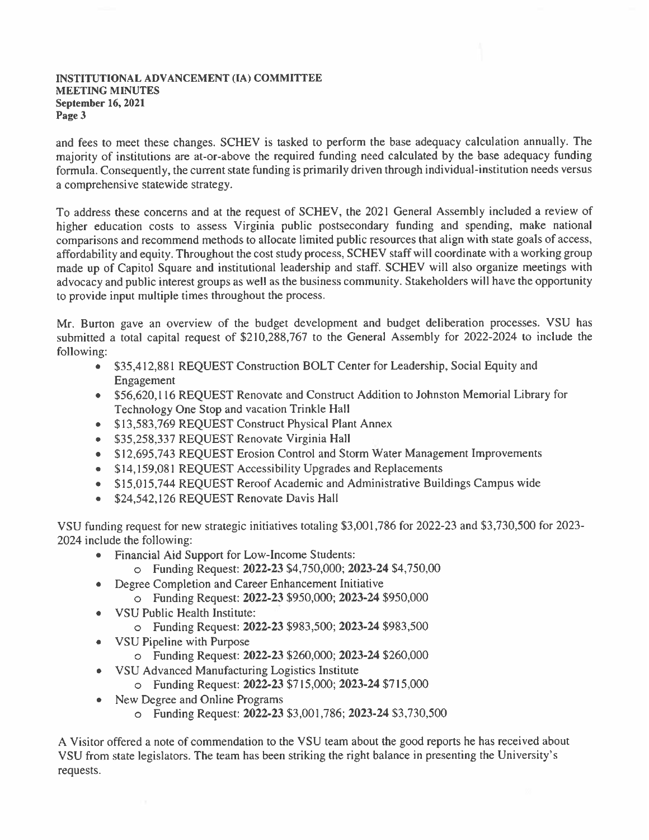and fees to meet these changes. SCHEV is tasked to perform the base adequacy calculation annually. The majority of institutions are at-or-above the required funding need calculated by the base adequacy funding formula. Consequently, the current state funding is primarily driven through individual-institution needs versus a comprehensive statewide strategy.

To address these concerns and at the request of SCHEV, the 2021 General Assembly included a review of higher education costs to assess Virginia public postsecondary funding and spending, make national comparisons and recommend methods to allocate limited public resources that align with state goals of access, affordability and equity. Throughout the cost study process, SCHEV staff will coordinate with a working group made up of Capitol Square and institutional leadership and staff. SCHEV will also organize meetings with advocacy and public interest groups as well as the business community. Stakeholders will have the opportunity to provide input multiple times throughout the process.

Mr. Burton gave an overview of the budget development and budget deliberation processes. VSU has submitted a total capital request of \$210,288,767 to the General Assembly for 2022-2024 to include the following:

- \$35,412,881 REQUEST Construction BOLT Center for Leadership, Social Equity and Engagement
- \$56,620,116 REQUEST Renovate and Construct Addition to Johnston Memorial Library for Technology One Stop and vacation Trinkle Hall
- \$13,583,769 REQUEST Construct Physical Plant Annex
- \$35,258,337 REQUEST Renovate Virginia Hall
- \$12,695,743 REQUEST Erosion Control and Storm Water Management Improvements
- \$14,159,081 REQUEST Accessibility Upgrades and Replacements
- \$15,015,744 REQUEST Reroof Academic and Administrative Buildings Campus wide
- \$24,542,126 REQUEST Renovate Davis Hall

VSU funding request for new strategic initiatives totaling \$3,001,786 for 2022-23 and \$3,730,500 for 2023-2024 include the following:

- Financial Aid Support for Low-Income Students:
	- O Funding Request: 2022-23 \$4,750,000; 2023-24 \$4,750,00
- Degree Completion and Career Enhancement Initiative  $\bullet$ 
	- o Funding Request: 2022-23 \$950,000; 2023-24 \$950,000
- VSU Public Health Institute:
	- O Funding Request: 2022-23 \$983,500; 2023-24 \$983,500
- VSU Pipeline with Purpose
	- O Funding Request: 2022-23 \$260,000; 2023-24 \$260,000
- VSU Advanced Manufacturing Logistics Institute
	- O Funding Request: 2022-23 \$715,000; 2023-24 \$715,000
- New Degree and Online Programs
	- o Funding Request: 2022-23 \$3,001,786; 2023-24 \$3,730,500

A Visitor offered a note of commendation to the VSU team about the good reports he has received about VSU from state legislators. The team has been striking the right balance in presenting the University's requests.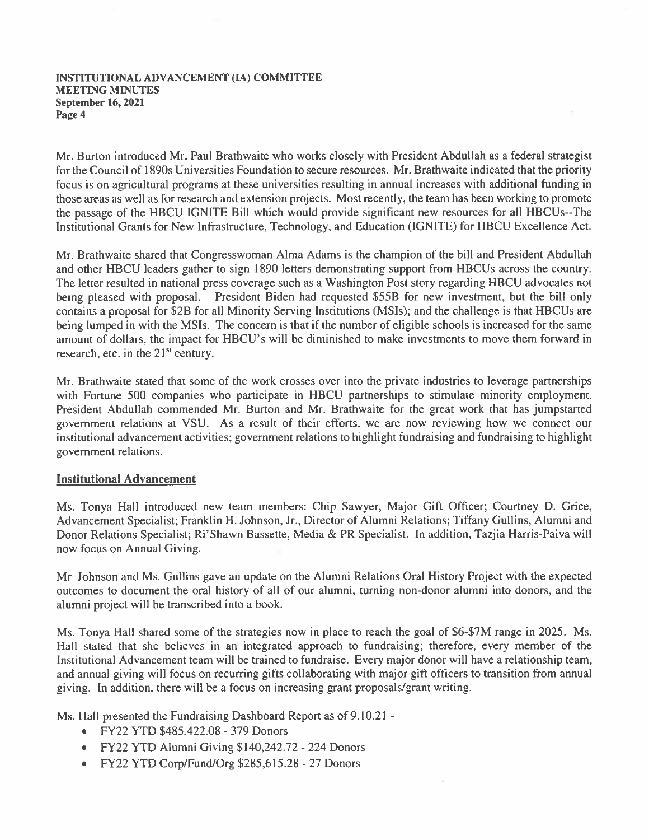Mr. Burton introduced Mr. Paul Brathwaite who works closely with President Abdullah as a federal strategist for the Council of 1890s Universities Foundation to secure resources. Mr. Brathwaite indicated that the priority focus is on agricultural programs at these universities resulting in annual increases with additional funding in those areas as well as for research and extension projects. Most recently, the team has been working to promote the passage of the HBCU IGNITE Bill which would provide significant new resources for all HBCUs--The Institutional Grants for New Infrastructure, Technology, and Education (IGNITE) for HBCU Excellence Act.

Mr. Brathwaite shared that Congresswoman Alma Adams is the champion of the bill and President Abdullah and other HBCU leaders gather to sign 1890 letters demonstrating support from HBCUs across the country. The letter resulted in national press coverage such as a Washington Post story regarding HBCU advocates not being pleased with proposal. President Biden had requested \$55B for new investment, but the bill only contains a proposal for \$2B for all Minority Serving Institutions (MSIs); and the challenge is that HBCUs are being lumped in with the MSIs. The concern is that if the number of eligible schools is increased for the same amount of dollars, the impact for HBCU's will be diminished to make investments to move them forward in research, etc. in the 21<sup>st</sup> century.

Mr. Brathwaite stated that some of the work crosses over into the private industries to leverage partnerships with Fortune 500 companies who participate in HBCU partnerships to stimulate minority employment. President Abdullah commended Mr. Burton and Mr. Brathwaite for the great work that has jumpstarted government relations at VSU. As a result of their efforts, we are now reviewing how we connect our institutional advancement activities; government relations to highlight fundraising and fundraising to highlight government relations.

# **Institutional Advancement**

Ms. Tonya Hall introduced new team members: Chip Sawyer, Major Gift Officer; Courtney D. Grice, Advancement Specialist; Franklin H. Johnson, Jr., Director of Alumni Relations; Tiffany Gullins, Alumni and Donor Relations Specialist; Ri'Shawn Bassette, Media & PR Specialist. In addition, Tazjia Harris-Paiva will now focus on Annual Giving.

Mr. Johnson and Ms. Gullins gave an update on the Alumni Relations Oral History Project with the expected outcomes to document the oral history of all of our alumni, turning non-donor alumni into donors, and the alumni project will be transcribed into a book.

Ms. Tonya Hall shared some of the strategies now in place to reach the goal of \$6-\$7M range in 2025. Ms. Hall stated that she believes in an integrated approach to fundraising; therefore, every member of the Institutional Advancement team will be trained to fundraise. Every major donor will have a relationship team, and annual giving will focus on recurring gifts collaborating with major gift officers to transition from annual giving. In addition, there will be a focus on increasing grant proposals/grant writing.

Ms. Hall presented the Fundraising Dashboard Report as of 9.10.21 -

- FY22 YTD \$485,422.08 379 Donors
- FY22 YTD Alumni Giving \$140,242.72 224 Donors
- FY22 YTD Corp/Fund/Org \$285,615.28 27 Donors